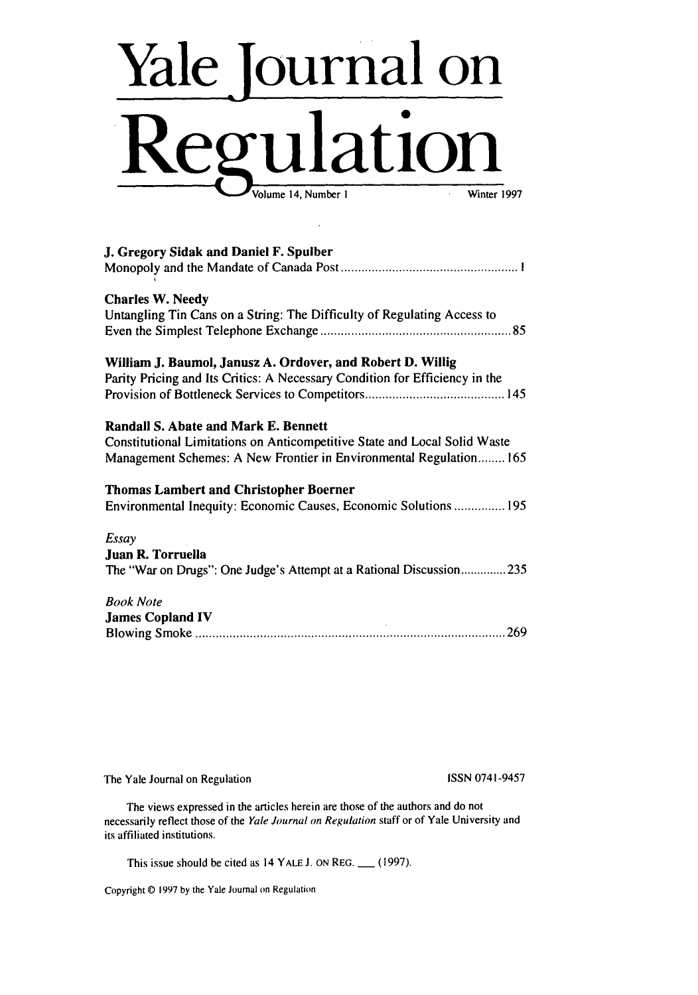# **Yale** Journal on **Regulation** Volume 14, Number 1

| J. Gregory Sidak and Daniel F. Spulber                                                                                                                                                  |
|-----------------------------------------------------------------------------------------------------------------------------------------------------------------------------------------|
| <b>Charles W. Needy</b><br>Untangling Tin Cans on a String: The Difficulty of Regulating Access to                                                                                      |
| William J. Baumol, Janusz A. Ordover, and Robert D. Willig<br>Parity Pricing and Its Critics: A Necessary Condition for Efficiency in the                                               |
| Randall S. Abate and Mark E. Bennett<br>Constitutional Limitations on Anticompetitive State and Local Solid Waste<br>Management Schemes: A New Frontier in Environmental Regulation 165 |
| <b>Thomas Lambert and Christopher Boerner</b><br>Environmental Inequity: Economic Causes, Economic Solutions  195                                                                       |
| Essay<br>Juan R. Torruella<br>The "War on Drugs": One Judge's Attempt at a Rational Discussion235                                                                                       |
| <b>Book Note</b><br><b>James Copland IV</b>                                                                                                                                             |

The Yale Journal on Regulation ISSN 0741-9457

The views expressed in the articles herein are those of the authors and do not necessarily reflect those of the Yale Journal on Regulation staff or of Yale University and its affiliated institutions.

This issue should be cited as 14 YALE J. ON REG. \_\_\_ (1997).

Copyright © 1997 by the Yale Journal on Regulation